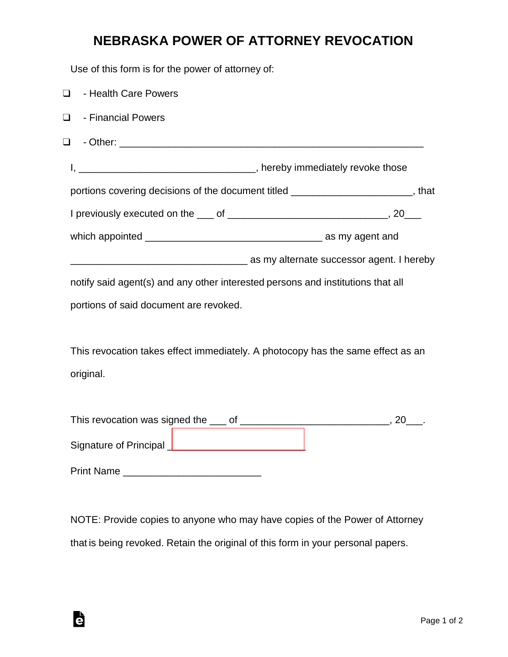## **NEBRASKA POWER OF ATTORNEY REVOCATION**

Use of this form is for the power of attorney of:

| $\Box$ | - Health Care Powers                                                             |  |
|--------|----------------------------------------------------------------------------------|--|
| $\Box$ | - Financial Powers                                                               |  |
| $\Box$ |                                                                                  |  |
|        |                                                                                  |  |
|        | portions covering decisions of the document titled _______________________, that |  |
|        |                                                                                  |  |
|        |                                                                                  |  |
|        | as my alternate successor agent. I hereby interface successor agent. I hereby    |  |
|        | notify said agent(s) and any other interested persons and institutions that all  |  |
|        | portions of said document are revoked.                                           |  |
|        |                                                                                  |  |
|        | This revocation takes effect immediately. A photocopy has the same effect as an  |  |
|        | original.                                                                        |  |
|        |                                                                                  |  |
|        |                                                                                  |  |
|        | Signature of Principal _________________________________                         |  |

Print Name \_\_\_\_\_\_\_\_\_\_\_\_\_\_\_\_\_\_\_\_\_\_\_\_\_

Ġ

NOTE: Provide copies to anyone who may have copies of the Power of Attorney that is being revoked. Retain the original of this form in your personal papers.